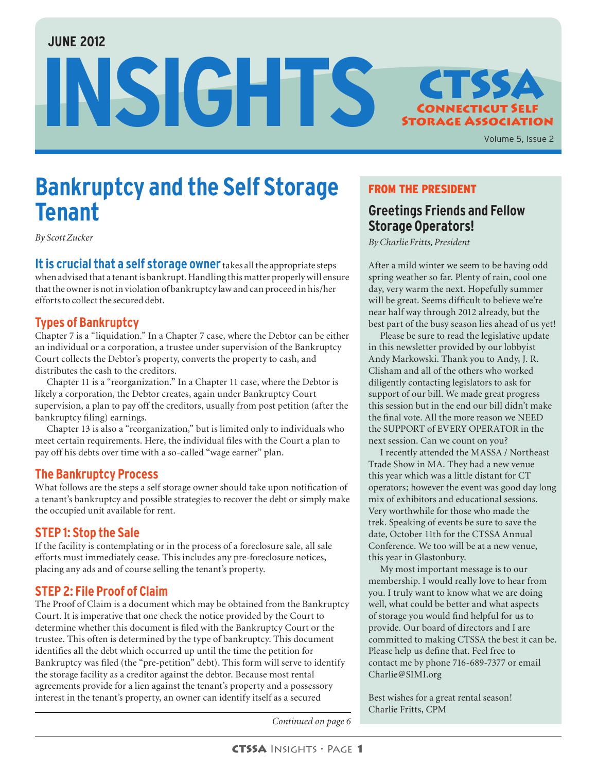#### **JUNE 2012**

INSIGHTS STSSA



Volume 5, Issue 2

# **Bankruptcy and the Self Storage Tenant**

*By Scott Zucker*

**It is crucial that a self storage owner** takes all the appropriate steps when advised that a tenant is bankrupt. Handling this matter properly will ensure that the owner is not in violation of bankruptcy law and can proceed in his/her efforts to collect the secured debt.

#### **Types of Bankruptcy**

Chapter 7 is a "liquidation." In a Chapter 7 case, where the Debtor can be either an individual or a corporation, a trustee under supervision of the Bankruptcy Court collects the Debtor's property, converts the property to cash, and distributes the cash to the creditors.

Chapter 11 is a "reorganization." In a Chapter 11 case, where the Debtor is likely a corporation, the Debtor creates, again under Bankruptcy Court supervision, a plan to pay off the creditors, usually from post petition (after the bankruptcy filing) earnings.

Chapter 13 is also a "reorganization," but is limited only to individuals who meet certain requirements. Here, the individual files with the Court a plan to pay off his debts over time with a so-called "wage earner" plan.

#### **The Bankruptcy Process**

What follows are the steps a self storage owner should take upon notification of a tenant's bankruptcy and possible strategies to recover the debt or simply make the occupied unit available for rent.

#### **STEP 1: Stop the Sale**

If the facility is contemplating or in the process of a foreclosure sale, all sale efforts must immediately cease. This includes any pre-foreclosure notices, placing any ads and of course selling the tenant's property.

#### **STEP 2: File Proof of Claim**

The Proof of Claim is a document which may be obtained from the Bankruptcy Court. It is imperative that one check the notice provided by the Court to determine whether this document is filed with the Bankruptcy Court or the trustee. This often is determined by the type of bankruptcy. This document identifies all the debt which occurred up until the time the petition for Bankruptcy was filed (the "pre-petition" debt). This form will serve to identify the storage facility as a creditor against the debtor. Because most rental agreements provide for a lien against the tenant's property and a possessory interest in the tenant's property, an owner can identify itself as a secured

### FROM THE PRESIDENT

### **Greetings Friends and Fellow Storage Operators!**

*By Charlie Fritts, President*

After a mild winter we seem to be having odd spring weather so far. Plenty of rain, cool one day, very warm the next. Hopefully summer will be great. Seems difficult to believe we're near half way through 2012 already, but the best part of the busy season lies ahead of us yet!

Please be sure to read the legislative update in this newsletter provided by our lobbyist Andy Markowski. Thank you to Andy, J. R. Clisham and all of the others who worked diligently contacting legislators to ask for support of our bill. We made great progress this session but in the end our bill didn't make the final vote. All the more reason we NEED the SUPPORT of EVERY OPERATOR in the next session. Can we count on you?

I recently attended the MASSA / Northeast Trade Show in MA. They had a new venue this year which was a little distant for CT operators; however the event was good day long mix of exhibitors and educational sessions. Very worthwhile for those who made the trek. Speaking of events be sure to save the date, October 11th for the CTSSA Annual Conference. We too will be at a new venue, this year in Glastonbury.

My most important message is to our membership. I would really love to hear from you. I truly want to know what we are doing well, what could be better and what aspects of storage you would find helpful for us to provide. Our board of directors and I are committed to making CTSSA the best it can be. Please help us define that. Feel free to contact me by phone 716-689-7377 or email Charlie@SIMI.org

Best wishes for a great rental season! Charlie Fritts, CPM

*Continued on page 6*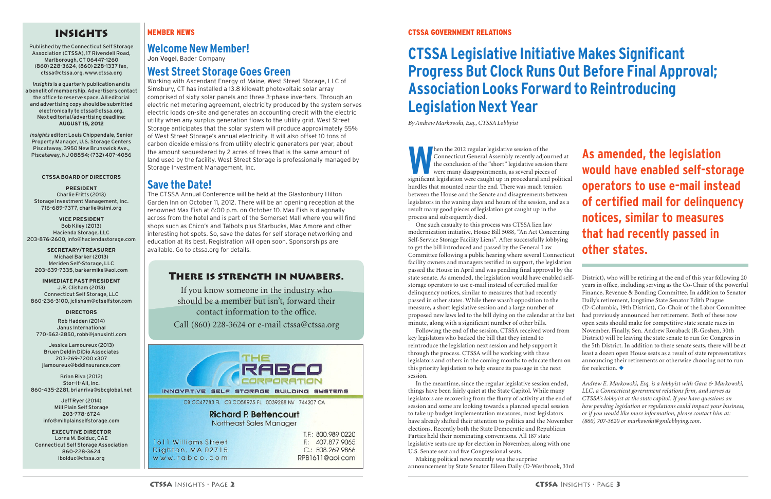# INSIGHTS

Published by the Connecticut Self Storage Association (CTSSA), 17 Rivendell Road, Marlborough, CT 06447-1260 (860) 228-3624, (860) 228-1337 fax, ctssa@ctssa.org, www.ctssa.org

*Insights* is a quarterly publication and is a benefit of membership. Advertisers contact the office to reserve space. All editorial and advertising copy should be submitted electronically to ctssa@ctssa.org. Next editorial/advertising deadline: **AUGUST 15, 2012**

*Insights* editor: Louis Chippendale, Senior Property Manager, U.S. Storage Centers Piscataway, 3950 New Brunswick Ave., Piscataway, NJ 08854; (732) 407-4056

#### **CTSSA BOARD OF DIRECTORS**

**PRESIDENT** Charlie Fritts (2013) Storage Investment Management, Inc. 716-689-7377, charlie@simi.org

**VICE PRESIDENT** Bob Kiley (2013) Hacienda Storage, LLC 203-876-2600, info@haciendastorage.com

**SECRETARY/TREASURER** Michael Barker (2013) Meriden Self-Storage, LLC 203-639-7335, barkermike@aol.com

**IMMEDIATE PAST PRESIDENT** J.R. Clisham (2013) Connecticut Self Storage, LLC 860-236-3100, jclisham@ctselfstor.com

#### **DIRECTORS**

Rob Hadden (2014) Janus International 770-562-2850, robh@janusintl.com

Jessica Lamoureux (2013) Bruen Deldin DiDio Associates 203-269-7200 x307 jlamoureux@bddinsurance.com

Brian Riva (2012) Stor-It-All, Inc. 860-435-2281, brianriva@sbcglobal.net

> Jeff Ryer (2014) Mill Plain Self Storage 203-778-6724 info@millplainselfstorage.com

**EXECUTIVE DIRECTOR** Lorna M. Bolduc, CAE Connecticut Self Storage Association 860-228-3624 lbolduc@ctssa.org

#### MEMBER NEWS

**Welcome New Member!**

Jon Vogel, Bader Company

## **West Street Storage Goes Green**

**WAREN THE 1999 MET A SET AND THE CONFIDENT CONFIDENT**<br>
Connecticut General Assembly recently adjourded the conclusion of the "short" legislative session were many disappointments, as several pieces<br>
significant legislatio Connecticut General Assembly recently adjourned at the conclusion of the "short" legislative session there were many disappointments, as several pieces of significant legislation were caught up in procedural and political hurdles that mounted near the end. There was much tension between the House and the Senate and disagreements between legislators in the waning days and hours of the session, and as a result many good pieces of legislation got caught up in the process and subsequently died.

Working with Ascendant Energy of Maine, West Street Storage, LLC of Simsbury, CT has installed a 13.8 kilowatt photovoltaic solar array comprised of sixty solar panels and three 3-phase inverters. Through an electric net metering agreement, electricity produced by the system serves electric loads on-site and generates an accounting credit with the electric utility when any surplus generation flows to the utility grid. West Street Storage anticipates that the solar system will produce approximately 55% of West Street Storage's annual electricity. It will also offset 10 tons of carbon dioxide emissions from utility electric generators per year, about the amount sequestered by 2 acres of trees that is the same amount of land used by the facility. West Street Storage is professionally managed by Storage Investment Management, Inc.

### **Save the Date!**

The CTSSA Annual Conference will be held at the Glastonbury Hilton Garden Inn on October 11, 2012. There will be an opening reception at the renowned Max Fish at 6:00 p.m. on October 10. Max Fish is diagonally across from the hotel and is part of the Somerset Mall where you will find shops such as Chico's and Talbots plus Starbucks, Max Amore and other interesting hot spots. So, save the dates for self storage networking and education at its best. Registration will open soon. Sponsorships are available. Go to ctssa.org for details.

> state senate. As amended, the legislation would have enabled selfstorage operators to use e-mail instead of certified mail for delinquency notices, similar to measures that had recently passed in other states. While there wasn't opposition to the measure, a short legislative session and a large number of proposed new laws led to the bill dying on the calendar at the last minute, along with a significant number of other bills. key legislators who backed the bill that they intend to reintroduce the legislation next session and help support it through the process. CTSSA will be working with these legislators and others in the coming months to educate them on this priority legislation to help ensure its passage in the next session.

> One such casualty to this process was CTSSA lien law modernization initiative, House Bill 5088, "An Act Concerning Self-Service Storage Facility Liens". After successfully lobbying to get the bill introduced and passed by the General Law Committee following a public hearing where several Connecticut facility owners and managers testified in support, the legislation passed the House in April and was pending final approval by the Following the end of the session, CTSSA received word from District), who will be retiring at the end of this year following 20 years in office, including serving as the Co-Chair of the powerful Finance, Revenue & Bonding Committee. In addition to Senator Daily's retirement, longtime State Senator Edith Prague (D-Columbia, 19th District), Co-Chair of the Labor Committee had previously announced her retirement. Both of these now open seats should make for competitive state senate races in November. Finally, Sen. Andrew Roraback (R-Goshen, 30th District) will be leaving the state senate to run for Congress in the 5th District. In addition to these senate seats, there will be at least a dozen open House seats as a result of state representatives announcing their retirements or otherwise choosing not to run for reelection.  $\blacklozenge$ **that had recently passed in other states.**

Making political news recently was the surprise announcement by State Senator Eileen Daily (D-Westbrook, 33rd

In the meantime, since the regular legislative session ended, things have been fairly quiet at the State Capitol. While many legislators are recovering from the flurry of activity at the end of session and some are looking towards a planned special session to take up budget implementation measures, most legislators have already shifted their attention to politics and the November elections. Recently both the State Democratic and Republican Parties held their nominating conventions. All 187 state legislative seats are up for election in November, along with one U.S. Senate seat and five Congressional seats. *Andrew E. Markowski, Esq. is a lobbyist with Gara & Markowski, LLC, a Connecticut government relations firm, and serves as CTSSA's lobbyist at the state capitol. If you have questions on how pending legislation or regulations could impact your business, or if you would like more information, please contact him at: (860) 707-3620 or markowski@gmlobbying.com.* 

#### CTSSA GOVERNMENT RELATIONS

# **CTSSA Legislative Initiative Makes Significant Progress But Clock Runs Out Before Final Approval; Association Looks Forward to Reintroducing Legislation Next Year**

*By Andrew Markowski, Esq., CTSSA Lobbyist*

# **As amended, the legislation would have enabled self-storage operators to use e-mail instead of certified mail for delinquency notices, similar to measures**

#### There is strength in numbers.

If you know someone in the industry who should be a member but isn't, forward their contact information to the office.

Call (860) 228-3624 or e-mail ctssa@ctssa.org

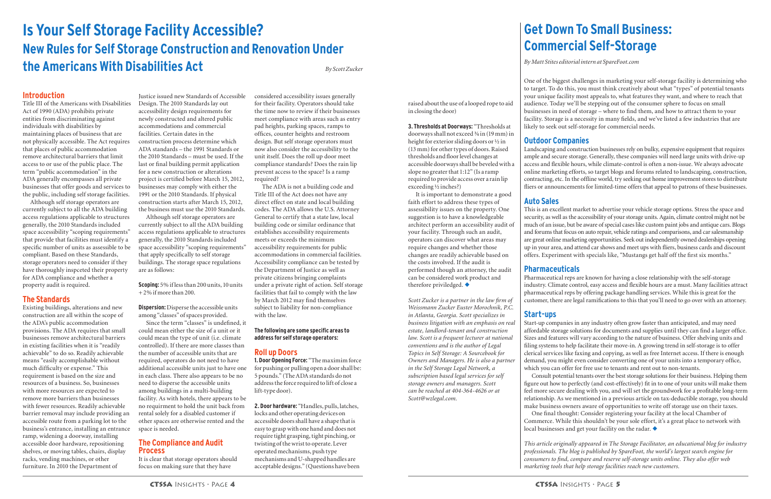raised about the use of a looped rope to aid in closing the door)

It is important to demonstrate a good faith effort to address these types of assessibility issues on the property. One suggestion is to have a knowledgeable architect perform an accessibility audit of your facility. Through such an audit, operators can discover what areas may require changes and whether those changes are readily achievable based on the costs involved. If the audit is performed though an attorney, the audit can be considered work product and therefore priviledged.  $\blacklozenge$ 

**3. Thresholds at Doorways:** "Thresholds at doorways shall not exceed ¾ in (19 mm) in height for exterior sliding doors or ½ in (13 mm) for other types of doors. Raised thresholds and floor level changes at accessible doorways shall be beveled with a slope no greater that 1:12" (Is a ramp required to provide access over a rain lip exceeding ½ inches?)

*Scott Zucker is a partner in the law firm of Weissmann Zucker Euster Morochnik, P.C. in Atlanta, Georgia. Scott specializes in business litigation with an emphasis on real estate, landlord-tenant and construction law. Scott is a frequent lecturer at national conventions and is the author of Legal Topics in Self Storage: A Sourcebook for Owners and Managers. He is also a partner in the Self Storage Legal Network, a subscription based legal services for self storage owners and managers. Scott can be reached at 404-364-4626 or at Scott@wzlegal.com.*

#### **Introduction**

Title III of the Americans with Disabilities Act of 1990 (ADA) prohibits private entities from discriminating against individuals with disabilities by maintaining places of business that are not physically accessible. The Act requires that places of public accommodation remove architectural barriers that limit access to or use of the public place. The term "public accommodation" in the ADA generally encompasses all private businesses that offer goods and services to the public, including self storage facilities.

Although self storage operators are currently subject to all the ADA building access regulations applicable to structures generally, the 2010 Standards included space accessibility "scoping requirements" that provide that facilities must identify a specific number of units as assessible to be compliant. Based on these Standards, storage operators need to consider if they have thoroughly inspceted their property for ADA compliance and whether a property audit is required.

#### **The Standards**

Existing buildings, alterations and new construction are all within the scope of the ADA's public accommodation provisions. The ADA requires that small businesses remove architectural barriers in existing facilities when it is "readily achievable" to do so. Readily achievable means "easily accomplishable without much difficulty or expense." This requirement is based on the size and resources of a business. So, businesses with more resources are expected to remove more barriers than businesses with fewer resources. Readily achievable barrier removal may include providing an accessible route from a parking lot to the business's entrance, installing an entrance ramp, widening a doorway, installing accessible door hardware, repositioning shelves, or moving tables, chairs, display racks, vending machines, or other furniture. In 2010 the Department of

Justice issued new Standards of Accessible Design. The 2010 Standards lay out accessibility design requirements for newly constructed and altered public accommodations and commercial facilities. Certain dates in the construction process determine which ADA standards – the 1991 Standards or the 2010 Standards – must be used. If the last or final building permit application for a new construction or alterations project is certified before March 15, 2012, businesses may comply with either the 1991 or the 2010 Standards. If physical construction starts after March 15, 2012, the business must use the 2010 Standards.

Although self storage operators are currently subject to all the ADA building access regulations applicable to structures generally, the 2010 Standards included space accessibility "scoping requirements" that apply specifically to self storage buildings. The storage space regulations are as follows:

**Scoping:** 5% if less than 200 units, 10 units + 2% if more than 200.

**Dispersion:** Disperse the accessible units among "classes" of spaces provided.

Since the term "classes" is undefined, it could mean either the size of a unit or it could mean the type of unit (i.e. climate controlled). If there are more classes than the number of accessible units that are required, operators do not need to have additional accessible units just to have one in each class. There also appears to be no need to disperse the accessible units among buildings in a multi-building facility. As with hotels, there appears to be no requirment to hold the unit back from rental solely for a disabled customer if other spaces are otherwise rented and the space is needed.

figure out how to perfectly (and cost-effectively) fit in to one of your units will make them feel more secure dealing with you, and will set the groundwork for a profitable long-term relationship. As we mentioned in a previous article on tax-deductible storage, you should make business owners aware of opportunities to write off storage use on their taxes. Commerce. While this shouldn't be your sole effort, it's a great place to network with local businesses and get your facility on the radar.  $\blacklozenge$ 

#### **The Compliance and Audit Process**

It is clear that storage operators should focus on making sure that they have

considered accessibility issues generally for their facility. Operators should take the time now to review if their businesses meet compliance with areas such as entry pad heights, parking spaces, ramps to offices, counter heights and restroom design. But self storage operators must now also consider the accessibility to the unit itself. Does the roll up door meet compliance standards? Does the rain lip prevent access to the space? Is a ramp required?

The ADA is not a building code and Title III of the Act does not have any direct effect on state and local building codes. The ADA allows the U.S. Attorney General to certify that a state law, local building code or similar ordinance that establishes accessibility requirements meets or exceeds the minimum accessibility requirements for public accommodations in commercial facilities. Accessibility compliance can be tested by the Department of Justice as well as private citizens bringing complaints under a private right of action. Self storage facilities that fail to comply with the law by March 2012 may find themselves subject to liability for non-compliance with the law.

#### **The following are some specific areas to address for self storage operators:**

#### **Roll up Doors**

**1. Door Opening Force:** "The maximim force for pushing or pulling open a door shall be: 5 pounds." (The ADA standards do not address the force required to lift of close a lift-type door).

**2. Door hardware:** "Handles, pulls, latches, locks and other operating devices on accessible doors shall have a shape that is easy to grasp with one hand and does not require tight grasping, tight pinching, or twisting of the wrist to operate. Lever operated mechanisms, push type mechanisms and U-shapped handles are acceptable designs." (Questions have been

# **Is Your Self Storage Facility Accessible? New Rules for Self Storage Construction and Renovation Under the Americans With Disabilities Act** *By Scott Zucker*



One of the biggest challenges in marketing your self-storage facility is determining who to target. To do this, you must think creatively about what "types" of potential tenants your unique facility most appeals to, what features they want, and where to reach that audience. Today we'll be stepping out of the consumer sphere to focus on small businesses in need of storage – where to find them, and how to attract them to your facility. Storage is a necessity in many fields, and we've listed a few industries that are likely to seek out self-storage for commercial needs.

#### **Outdoor Companies**

Landscaping and construction businesses rely on bulky, expensive equipment that requires ample and secure storage. Generally, these companies will need large units with drive-up access and flexible hours, while climate-control is often a non-issue. We always advocate online marketing efforts, so target blogs and forums related to landscaping, construction, contracting, etc. In the offline world, try seeking out home improvement stores to distribute fliers or announcements for limited-time offers that appeal to patrons of these businesses.

#### **Auto Sales**

This is an excellent market to advertise your vehicle storage options. Stress the space and security, as well as the accessibility of your storage units. Again, climate control might not be much of an issue, but be aware of special cases like custom paint jobs and antique cars. Blogs and forums that focus on auto repair, vehicle ratings and comparisons, and car salesmanship are great online marketing opportunities. Seek out independently owned dealerships opening up in your area, and attend car shows and meet ups with fliers, business cards and discount offers. Experiment with specials like, "Mustangs get half off the first six months."

#### **Pharmaceuticals**

Pharmaceutical reps are known for having a close relationship with the self-storage industry. Climate control, easy access and flexible hours are a must. Many facilities attract pharmaceutical reps by offering package handling services. While this is great for the customer, there are legal ramifications to this that you'll need to go over with an attorney.

#### **Start-ups**

Start-up companies in any industry often grow faster than anticipated, and may need affordable storage solutions for documents and supplies until they can find a larger office. Sizes and features will vary according to the nature of business. Offer shelving units and filing systems to help facilitate their move-in. A growing trend in self-storage is to offer clerical services like faxing and copying, as well as free Internet access. If there is enough demand, you might even consider converting one of your units into a temporary office, which you can offer for free use to tenants and rent out to non-tenants.

Consult potential tenants over the best storage solutions for their business. Helping them One final thought: Consider registering your facility at the local Chamber of

*This article originally appeared in The Storage Facilitator, an educational blog for industry professionals. The blog is published by SpareFoot, the world's largest search engine for consumers to find, compare and reserve self-storage units online. They also offer web marketing tools that help storage facilities reach new customers.* 

# **Get Down To Small Business: Commercial Self-Storage**

*By Matt Stites editorial intern at SpareFoot.com*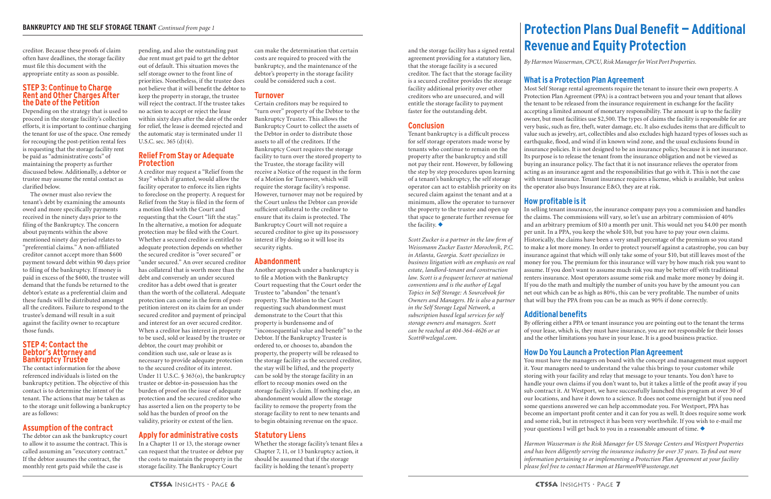creditor. Because these proofs of claim often have deadlines, the storage facility must file this document with the appropriate entity as soon as possible.

#### **STEP 3: Continue to Charge Rent and Other Charges After the Date of the Petition**

Depending on the strategy that is used to proceed in the storage facility's collection efforts, it is important to continue charging the tenant for use of the space. One remedy for recouping the post-petition rental fees is requesting that the storage facility rent be paid as "administrative costs" of maintaining the property as further discussed below. Additionally, a debtor or trustee may assume the rental contact as clarified below.

The owner must also review the tenant's debt by examining the amounts owed and more specifically payments received in the ninety days prior to the filing of the Bankruptcy. The concern about payments within the above mentioned ninety day period relates to "preferential claims." A non-affiliated creditor cannot accept more than \$600 payment toward debt within 90 days prior to filing of the bankruptcy. If money is paid in excess of the \$600, the trustee will demand that the funds be returned to the debtor's estate as a preferential claim and these funds will be distributed amongst all the creditors. Failure to respond to the trustee's demand will result in a suit against the facility owner to recapture those funds.

#### **STEP 4: Contact the Debtor's Attorney and Bankruptcy Trustee**

The contact information for the above referenced individuals is listed on the bankruptcy petition. The objective of this contact is to determine the intent of the tenant. The actions that may be taken as to the storage unit following a bankruptcy are as follows:

#### **Assumption of the contract**

The debtor can ask the bankruptcy court to allow it to assume the contract. This is called assuming an "executory contract." If the debtor assumes the contract, the monthly rent gets paid while the case is

pending, and also the outstanding past due rent must get paid to get the debtor out of default. This situation moves the self storage owner to the front line of priorities. Nonetheless, if the trustee does not believe that it will benefit the debtor to keep the property in storage, the trustee will reject the contract. If the trustee takes no action to accept or reject the lease within sixty days after the date of the order for relief, the lease is deemed rejected and

the automatic stay is terminated under 11 U.S.C. sec. 365 (d)(4).

#### **Relief From Stay or Adequate Protection**

A creditor may request a "Relief from the Stay" which if granted, would allow the facility operator to enforce its lien rights to foreclose on the property. A request for Relief from the Stay is filed in the form of a motion filed with the Court and requesting that the Court "lift the stay." In the alternative, a motion for adequate protection may be filed with the Court. Whether a secured creditor is entitled to adequate protection depends on whether the secured creditor is "over secured" or "under secured." An over secured creditor has collateral that is worth more than the debt and conversely an under secured creditor has a debt owed that is greater than the worth of the collateral. Adequate protection can come in the form of postpetition interest on its claim for an under secured creditor and payment of principal and interest for an over secured creditor. When a creditor has interest in property to be used, sold or leased by the trustee or debtor, the court may prohibit or condition such use, sale or lease as is necessary to provide adequate protection to the secured creditor of its interest. Under 11 U.S.C. § 363(o), the bankruptcy trustee or debtor-in-possession has the burden of proof on the issue of adequate protection and the secured creditor who has asserted a lien on the property to be sold has the burden of proof on the validity, priority or extent of the lien.

Tenant bankruptcy is a difficult process for self storage operators made worse by tenants who continue to remain on the property after the bankruptcy and still not pay their rent. However, by following the step by step procedures upon learning of a tenant's bankruptcy, the self storage operator can act to establish priority on its secured claim against the tenant and at a minimum, allow the operator to turnover the property to the trustee and open up that space to generate further revenue for the facility.  $\blacklozenge$ 

### **Apply for administrative costs**

In a Chapter 11 or 13, the storage owner can request that the trustee or debtor pay the costs to maintain the property in the storage facility. The Bankruptcy Court

can make the determination that certain costs are required to proceed with the bankruptcy, and the maintenance of the debtor's property in the storage facility could be considered such a cost.

#### **Turnover**

Certain creditors may be required to "turn over" property of the Debtor to the Bankruptcy Trustee. This allows the Bankruptcy Court to collect the assets of the Debtor in order to distribute those assets to all of the creditors. If the Bankruptcy Court requires the storage facility to turn over the stored property to the Trustee, the storage facility will receive a Notice of the request in the form of a Motion for Turnover, which will require the storage facility's response. However, turnover may not be required by the Court unless the Debtor can provide sufficient collateral to the creditor to ensure that its claim is protected. The Bankruptcy Court will not require a secured creditor to give up its possessory interest if by doing so it will lose its security rights.

> You must have the managers on board with the concept and management must support it. Your managers need to understand the value this brings to your customer while storing with your facility and relay that message to your tenants. You don't have to handle your own claims if you don't want to, but it takes a little of the profit away if you sub contract it. At Westport, we have successfully launched this program at over 30 of our locations, and have it down to a science. It does not come overnight but if you need some questions answered we can help accommodate you. For Westport, PPA has become an important profit center and it can for you as well. It does require some work and some risk, but in retrospect it has been very worthwhile. If you wish to e-mail me your questions I will get back to you in a reasonable amount of time.  $\blacklozenge$

#### **Abandonment**

Another approach under a bankruptcy is to file a Motion with the Bankruptcy Court requesting that the Court order the Trustee to "abandon" the tenant's property. The Motion to the Court requesting such abandonment must demonstrate to the Court that this property is burdensome and of "inconsequential value and benefit" to the Debtor. If the Bankruptcy Trustee is ordered to, or chooses to, abandon the property, the property will be released to the storage facility as the secured creditor, the stay will be lifted, and the property can be sold by the storage facility in an effort to recoup monies owed on the storage facility's claim. If nothing else, an abandonment would allow the storage facility to remove the property from the storage facility to rent to new tenants and to begin obtaining revenue on the space.

### **Statutory Liens**

Whether the storage facility's tenant files a Chapter 7, 11, or 13 bankruptcy action, it should be assumed that if the storage facility is holding the tenant's property

and the storage facility has a signed rental agreement providing for a statutory lien, that the storage facility is a secured creditor. The fact that the storage facility is a secured creditor provides the storage facility additional priority over other creditors who are unsecured, and will entitle the storage facility to payment faster for the outstanding debt.

### **Conclusion**

*Scott Zucker is a partner in the law firm of Weissmann Zucker Euster Morochnik, P.C. in Atlanta, Georgia. Scott specializes in business litigation with an emphasis on real estate, landlord-tenant and construction law. Scott is a frequent lecturer at national conventions and is the author of Legal Topics in Self Storage: A Sourcebook for Owners and Managers. He is also a partner in the Self Storage Legal Network, a subscription based legal services for self storage owners and managers. Scott can be reached at 404-364-4626 or at Scott@wzlegal.com.*

### **What is a Protection Plan Agreement**

Most Self Storage rental agreements require the tenant to insure their own property. A Protection Plan Agreement (PPA) is a contract between you and your tenant that allows the tenant to be released from the insurance requirement in exchange for the facility accepting a limited amount of monetary responsibility. The amount is up to the facility owner, but most facilities use \$2,500. The types of claims the facility is responsible for are very basic, such as fire, theft, water damage, etc. It also excludes items that are difficult to value such as jewelry, art, collectibles and also excludes high hazard types of losses such as earthquake, flood, and wind if in known wind zone, and the usual exclusions found in insurance policies. It is not designed to be an insurance policy, because it is not insurance. Its purpose is to release the tenant from the insurance obligation and not be viewed as buying an insurance policy. The fact that it is not insurance relieves the operator from acting as an insurance agent and the responsibilities that go with it. This is not the case with tenant insurance. Tenant insurance requires a license, which is available, but unless the operator also buys Insurance E&O, they are at risk.

#### **How profitable is it**

In selling tenant insurance, the insurance company pays you a commission and handles the claims. The commissions will vary, so let's use an arbitrary commission of 40% and an arbitrary premium of \$10 a month per unit. This would net you \$4.00 per month per unit. In a PPA, you keep the whole \$10, but you have to pay your own claims. Historically, the claims have been a very small percentage of the premium so you stand to make a lot more money. In order to protect yourself against a catastrophe, you can buy insurance against that which will only take some of your \$10, but still leaves most of the money for you. The premium for this insurance will vary by how much risk you want to assume. If you don't want to assume much risk you may be better off with traditional renters insurance. Most operators assume some risk and make more money by doing it. If you do the math and multiply the number of units you have by the amount you can net out which can be as high as 80%, this can be very profitable. The number of units that will buy the PPA from you can be as much as 90% if done correctly.

#### **Additional benefits**

By offering either a PPA or tenant insurance you are pointing out to the tenant the terms of your lease, which is, they must have insurance, you are not responsible for their losses and the other limitations you have in your lease. It is a good business practice.

#### **How Do You Launch a Protection Plan Agreement**

*Harmon Wasserman is the Risk Manager for US Storage Centers and Westport Properties and has been diligently serving the insurance industry for over 37 years. To find out more information pertaining to or implementing a Protection Plan Agreement at your facility please feel free to contact Harmon at HarmonW@usstorage.net*

# **Protection Plans Dual Benefit — Additional Revenue and Equity Protection**

*By Harmon Wasserman, CPCU, Risk Manager for West Port Properties.*